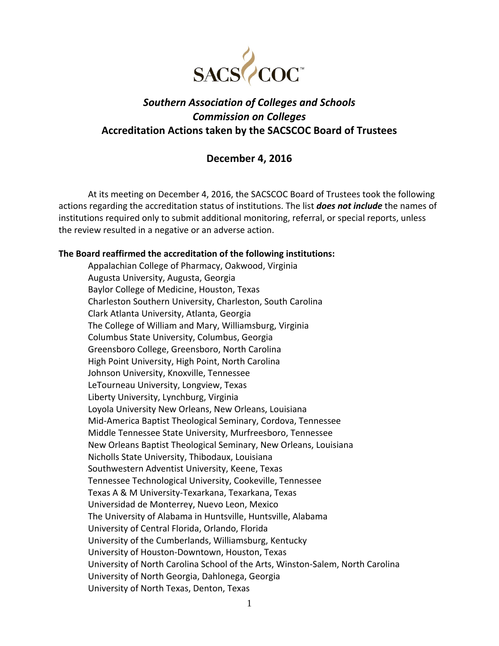

# *Southern Association of Colleges and Schools Commission on Colleges* **Accreditation Actions taken by the SACSCOC Board of Trustees**

# **December 4, 2016**

At its meeting on December 4, 2016, the SACSCOC Board of Trustees took the following actions regarding the accreditation status of institutions. The list *does not include* the names of institutions required only to submit additional monitoring, referral, or special reports, unless the review resulted in a negative or an adverse action.

# **The Board reaffirmed the accreditation of the following institutions:**

Appalachian College of Pharmacy, Oakwood, Virginia Augusta University, Augusta, Georgia Baylor College of Medicine, Houston, Texas Charleston Southern University, Charleston, South Carolina Clark Atlanta University, Atlanta, Georgia The College of William and Mary, Williamsburg, Virginia Columbus State University, Columbus, Georgia Greensboro College, Greensboro, North Carolina High Point University, High Point, North Carolina Johnson University, Knoxville, Tennessee LeTourneau University, Longview, Texas Liberty University, Lynchburg, Virginia Loyola University New Orleans, New Orleans, Louisiana Mid‐America Baptist Theological Seminary, Cordova, Tennessee Middle Tennessee State University, Murfreesboro, Tennessee New Orleans Baptist Theological Seminary, New Orleans, Louisiana Nicholls State University, Thibodaux, Louisiana Southwestern Adventist University, Keene, Texas Tennessee Technological University, Cookeville, Tennessee Texas A & M University‐Texarkana, Texarkana, Texas Universidad de Monterrey, Nuevo Leon, Mexico The University of Alabama in Huntsville, Huntsville, Alabama University of Central Florida, Orlando, Florida University of the Cumberlands, Williamsburg, Kentucky University of Houston‐Downtown, Houston, Texas University of North Carolina School of the Arts, Winston‐Salem, North Carolina University of North Georgia, Dahlonega, Georgia University of North Texas, Denton, Texas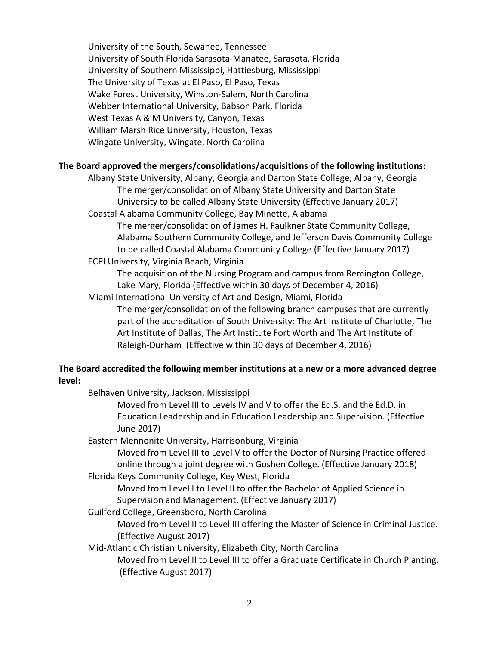University of the South, Sewanee, Tennessee University of South Florida Sarasota‐Manatee, Sarasota, Florida University of Southern Mississippi, Hattiesburg, Mississippi The University of Texas at El Paso, El Paso, Texas Wake Forest University, Winston‐Salem, North Carolina Webber International University, Babson Park, Florida West Texas A & M University, Canyon, Texas William Marsh Rice University, Houston, Texas Wingate University, Wingate, North Carolina

### **The Board approved the mergers/consolidations/acquisitions of the following institutions:**

Albany State University, Albany, Georgia and Darton State College, Albany, Georgia The merger/consolidation of Albany State University and Darton State University to be called Albany State University (Effective January 2017) Coastal Alabama Community College, Bay Minette, Alabama

The merger/consolidation of James H. Faulkner State Community College, Alabama Southern Community College, and Jefferson Davis Community College to be called Coastal Alabama Community College (Effective January 2017)

ECPI University, Virginia Beach, Virginia

The acquisition of the Nursing Program and campus from Remington College, Lake Mary, Florida (Effective within 30 days of December 4, 2016)

Miami International University of Art and Design, Miami, Florida

The merger/consolidation of the following branch campuses that are currently part of the accreditation of South University: The Art Institute of Charlotte, The Art Institute of Dallas, The Art Institute Fort Worth and The Art Institute of Raleigh‐Durham (Effective within 30 days of December 4, 2016)

# **The Board accredited the following member institutions at a new or a more advanced degree level:**

Belhaven University, Jackson, Mississippi

Moved from Level III to Levels IV and V to offer the Ed.S. and the Ed.D. in Education Leadership and in Education Leadership and Supervision. (Effective June 2017)

Eastern Mennonite University, Harrisonburg, Virginia

Moved from Level III to Level V to offer the Doctor of Nursing Practice offered online through a joint degree with Goshen College. (Effective January 2018)

Florida Keys Community College, Key West, Florida

Moved from Level I to Level II to offer the Bachelor of Applied Science in Supervision and Management. (Effective January 2017)

Guilford College, Greensboro, North Carolina

Moved from Level II to Level III offering the Master of Science in Criminal Justice. (Effective August 2017)

Mid‐Atlantic Christian University, Elizabeth City, North Carolina

Moved from Level II to Level III to offer a Graduate Certificate in Church Planting. (Effective August 2017)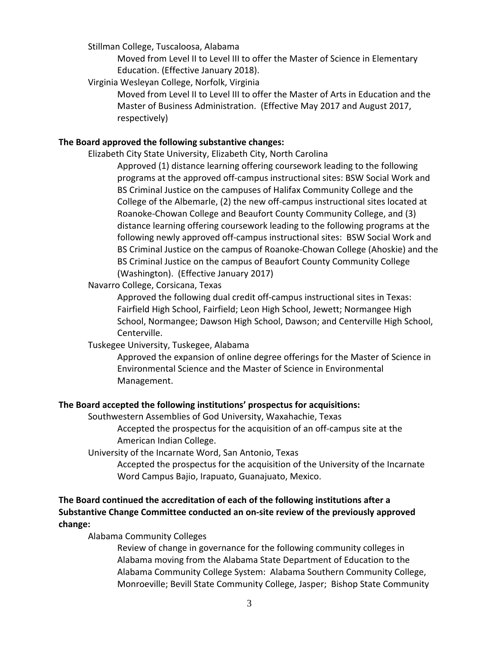Stillman College, Tuscaloosa, Alabama

Moved from Level II to Level III to offer the Master of Science in Elementary Education. (Effective January 2018).

Virginia Wesleyan College, Norfolk, Virginia

Moved from Level II to Level III to offer the Master of Arts in Education and the Master of Business Administration. (Effective May 2017 and August 2017, respectively)

# **The Board approved the following substantive changes:**

Elizabeth City State University, Elizabeth City, North Carolina Approved (1) distance learning offering coursework leading to the following programs at the approved off‐campus instructional sites: BSW Social Work and BS Criminal Justice on the campuses of Halifax Community College and the College of the Albemarle, (2) the new off‐campus instructional sites located at Roanoke‐Chowan College and Beaufort County Community College, and (3) distance learning offering coursework leading to the following programs at the following newly approved off‐campus instructional sites: BSW Social Work and BS Criminal Justice on the campus of Roanoke‐Chowan College (Ahoskie) and the BS Criminal Justice on the campus of Beaufort County Community College (Washington). (Effective January 2017)

Navarro College, Corsicana, Texas

Approved the following dual credit off‐campus instructional sites in Texas: Fairfield High School, Fairfield; Leon High School, Jewett; Normangee High School, Normangee; Dawson High School, Dawson; and Centerville High School, Centerville.

Tuskegee University, Tuskegee, Alabama

Approved the expansion of online degree offerings for the Master of Science in Environmental Science and the Master of Science in Environmental Management.

### **The Board accepted the following institutions' prospectus for acquisitions:**

Southwestern Assemblies of God University, Waxahachie, Texas

Accepted the prospectus for the acquisition of an off‐campus site at the American Indian College.

University of the Incarnate Word, San Antonio, Texas

Accepted the prospectus for the acquisition of the University of the Incarnate Word Campus Bajio, Irapuato, Guanajuato, Mexico.

# **The Board continued the accreditation of each of the following institutions after a Substantive Change Committee conducted an on‐site review of the previously approved change:**

Alabama Community Colleges

Review of change in governance for the following community colleges in Alabama moving from the Alabama State Department of Education to the Alabama Community College System: Alabama Southern Community College, Monroeville; Bevill State Community College, Jasper; Bishop State Community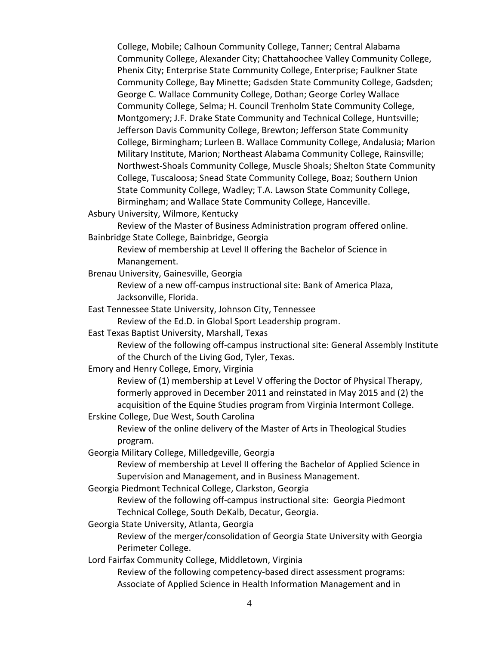College, Mobile; Calhoun Community College, Tanner; Central Alabama Community College, Alexander City; Chattahoochee Valley Community College, Phenix City; Enterprise State Community College, Enterprise; Faulkner State Community College, Bay Minette; Gadsden State Community College, Gadsden; George C. Wallace Community College, Dothan; George Corley Wallace Community College, Selma; H. Council Trenholm State Community College, Montgomery; J.F. Drake State Community and Technical College, Huntsville; Jefferson Davis Community College, Brewton; Jefferson State Community College, Birmingham; Lurleen B. Wallace Community College, Andalusia; Marion Military Institute, Marion; Northeast Alabama Community College, Rainsville; Northwest‐Shoals Community College, Muscle Shoals; Shelton State Community College, Tuscaloosa; Snead State Community College, Boaz; Southern Union State Community College, Wadley; T.A. Lawson State Community College, Birmingham; and Wallace State Community College, Hanceville.

Asbury University, Wilmore, Kentucky

 Review of the Master of Business Administration program offered online. Bainbridge State College, Bainbridge, Georgia

Review of membership at Level II offering the Bachelor of Science in Manangement.

Brenau University, Gainesville, Georgia

Review of a new off‐campus instructional site: Bank of America Plaza, Jacksonville, Florida.

East Tennessee State University, Johnson City, Tennessee

Review of the Ed.D. in Global Sport Leadership program.

East Texas Baptist University, Marshall, Texas

Review of the following off‐campus instructional site: General Assembly Institute of the Church of the Living God, Tyler, Texas.

Emory and Henry College, Emory, Virginia

Review of (1) membership at Level V offering the Doctor of Physical Therapy, formerly approved in December 2011 and reinstated in May 2015 and (2) the acquisition of the Equine Studies program from Virginia Intermont College.

Erskine College, Due West, South Carolina

Review of the online delivery of the Master of Arts in Theological Studies program.

Georgia Military College, Milledgeville, Georgia

Review of membership at Level II offering the Bachelor of Applied Science in Supervision and Management, and in Business Management.

Georgia Piedmont Technical College, Clarkston, Georgia

Review of the following off‐campus instructional site: Georgia Piedmont Technical College, South DeKalb, Decatur, Georgia.

Georgia State University, Atlanta, Georgia

Review of the merger/consolidation of Georgia State University with Georgia Perimeter College.

Lord Fairfax Community College, Middletown, Virginia

Review of the following competency‐based direct assessment programs: Associate of Applied Science in Health Information Management and in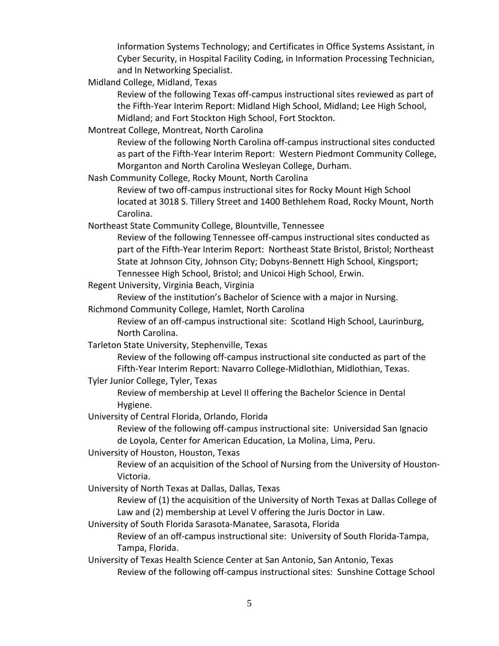Information Systems Technology; and Certificates in Office Systems Assistant, in Cyber Security, in Hospital Facility Coding, in Information Processing Technician, and In Networking Specialist.

Midland College, Midland, Texas

 Review of the following Texas off‐campus instructional sites reviewed as part of the Fifth‐Year Interim Report: Midland High School, Midland; Lee High School, Midland; and Fort Stockton High School, Fort Stockton.

Montreat College, Montreat, North Carolina

Review of the following North Carolina off‐campus instructional sites conducted as part of the Fifth‐Year Interim Report: Western Piedmont Community College, Morganton and North Carolina Wesleyan College, Durham.

Nash Community College, Rocky Mount, North Carolina

Review of two off‐campus instructional sites for Rocky Mount High School located at 3018 S. Tillery Street and 1400 Bethlehem Road, Rocky Mount, North Carolina.

Northeast State Community College, Blountville, Tennessee

Review of the following Tennessee off‐campus instructional sites conducted as part of the Fifth‐Year Interim Report: Northeast State Bristol, Bristol; Northeast State at Johnson City, Johnson City; Dobyns‐Bennett High School, Kingsport; Tennessee High School, Bristol; and Unicoi High School, Erwin.

Regent University, Virginia Beach, Virginia

Review of the institution's Bachelor of Science with a major in Nursing.

Richmond Community College, Hamlet, North Carolina

Review of an off-campus instructional site: Scotland High School, Laurinburg, North Carolina.

Tarleton State University, Stephenville, Texas

 Review of the following off‐campus instructional site conducted as part of the Fifth‐Year Interim Report: Navarro College‐Midlothian, Midlothian, Texas.

Tyler Junior College, Tyler, Texas

Review of membership at Level II offering the Bachelor Science in Dental Hygiene.

University of Central Florida, Orlando, Florida

Review of the following off‐campus instructional site: Universidad San Ignacio de Loyola, Center for American Education, La Molina, Lima, Peru.

University of Houston, Houston, Texas

Review of an acquisition of the School of Nursing from the University of Houston‐ Victoria.

University of North Texas at Dallas, Dallas, Texas

Review of (1) the acquisition of the University of North Texas at Dallas College of Law and (2) membership at Level V offering the Juris Doctor in Law.

University of South Florida Sarasota‐Manatee, Sarasota, Florida

Review of an off‐campus instructional site: University of South Florida‐Tampa, Tampa, Florida.

University of Texas Health Science Center at San Antonio, San Antonio, Texas Review of the following off-campus instructional sites: Sunshine Cottage School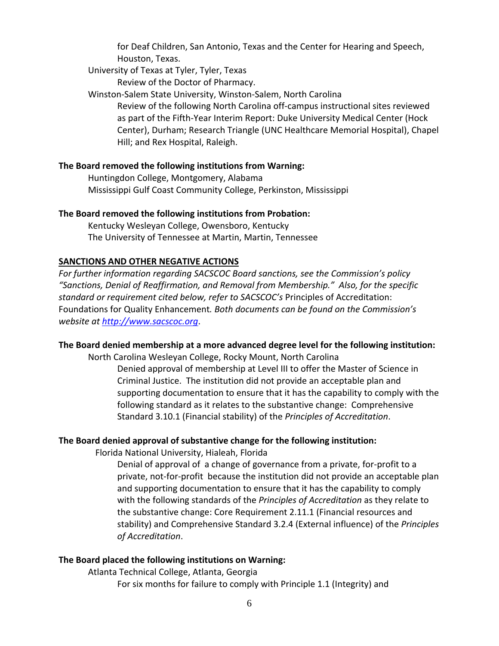for Deaf Children, San Antonio, Texas and the Center for Hearing and Speech, Houston, Texas.

University of Texas at Tyler, Tyler, Texas

Review of the Doctor of Pharmacy.

Winston‐Salem State University, Winston‐Salem, North Carolina Review of the following North Carolina off‐campus instructional sites reviewed as part of the Fifth‐Year Interim Report: Duke University Medical Center (Hock Center), Durham; Research Triangle (UNC Healthcare Memorial Hospital), Chapel Hill; and Rex Hospital, Raleigh.

### **The Board removed the following institutions from Warning:**

Huntingdon College, Montgomery, Alabama Mississippi Gulf Coast Community College, Perkinston, Mississippi

### **The Board removed the following institutions from Probation:**

Kentucky Wesleyan College, Owensboro, Kentucky The University of Tennessee at Martin, Martin, Tennessee

# **SANCTIONS AND OTHER NEGATIVE ACTIONS**

*For further information regarding SACSCOC Board sanctions, see the Commission's policy "Sanctions, Denial of Reaffirmation, and Removal from Membership." Also, for the specific standard or requirement cited below, refer to SACSCOC's* Principles of Accreditation: Foundations for Quality Enhancement*. Both documents can be found on the Commission's website at http://www.sacscoc.org*.

### **The Board denied membership at a more advanced degree level for the following institution:**

North Carolina Wesleyan College, Rocky Mount, North Carolina Denied approval of membership at Level III to offer the Master of Science in Criminal Justice. The institution did not provide an acceptable plan and supporting documentation to ensure that it has the capability to comply with the following standard as it relates to the substantive change: Comprehensive Standard 3.10.1 (Financial stability) of the *Principles of Accreditation*.

### **The Board denied approval of substantive change for the following institution:**

Florida National University, Hialeah, Florida

Denial of approval of a change of governance from a private, for‐profit to a private, not‐for‐profit because the institution did not provide an acceptable plan and supporting documentation to ensure that it has the capability to comply with the following standards of the *Principles of Accreditation* as they relate to the substantive change: Core Requirement 2.11.1 (Financial resources and stability) and Comprehensive Standard 3.2.4 (External influence) of the *Principles of Accreditation*.

### **The Board placed the following institutions on Warning:**

Atlanta Technical College, Atlanta, Georgia For six months for failure to comply with Principle 1.1 (Integrity) and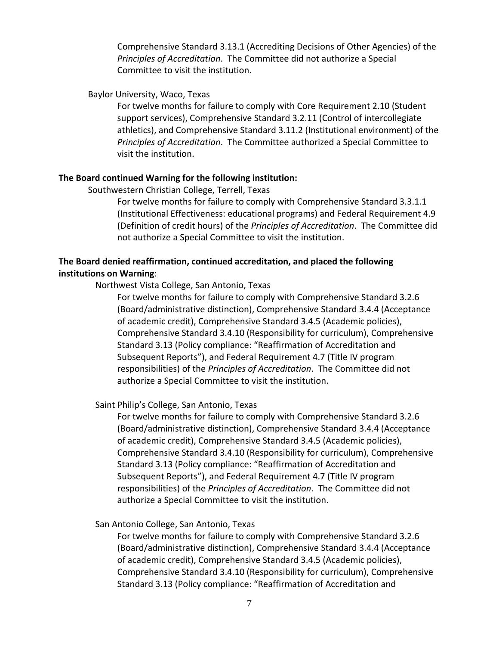Comprehensive Standard 3.13.1 (Accrediting Decisions of Other Agencies) of the *Principles of Accreditation*. The Committee did not authorize a Special Committee to visit the institution.

#### Baylor University, Waco, Texas

For twelve months for failure to comply with Core Requirement 2.10 (Student support services), Comprehensive Standard 3.2.11 (Control of intercollegiate athletics), and Comprehensive Standard 3.11.2 (Institutional environment) of the *Principles of Accreditation*. The Committee authorized a Special Committee to visit the institution.

#### **The Board continued Warning for the following institution:**

Southwestern Christian College, Terrell, Texas

For twelve months for failure to comply with Comprehensive Standard 3.3.1.1 (Institutional Effectiveness: educational programs) and Federal Requirement 4.9 (Definition of credit hours) of the *Principles of Accreditation*. The Committee did not authorize a Special Committee to visit the institution.

# **The Board denied reaffirmation, continued accreditation, and placed the following institutions on Warning**:

Northwest Vista College, San Antonio, Texas

For twelve months for failure to comply with Comprehensive Standard 3.2.6 (Board/administrative distinction), Comprehensive Standard 3.4.4 (Acceptance of academic credit), Comprehensive Standard 3.4.5 (Academic policies), Comprehensive Standard 3.4.10 (Responsibility for curriculum), Comprehensive Standard 3.13 (Policy compliance: "Reaffirmation of Accreditation and Subsequent Reports"), and Federal Requirement 4.7 (Title IV program responsibilities) of the *Principles of Accreditation*. The Committee did not authorize a Special Committee to visit the institution.

Saint Philip's College, San Antonio, Texas

For twelve months for failure to comply with Comprehensive Standard 3.2.6 (Board/administrative distinction), Comprehensive Standard 3.4.4 (Acceptance of academic credit), Comprehensive Standard 3.4.5 (Academic policies), Comprehensive Standard 3.4.10 (Responsibility for curriculum), Comprehensive Standard 3.13 (Policy compliance: "Reaffirmation of Accreditation and Subsequent Reports"), and Federal Requirement 4.7 (Title IV program responsibilities) of the *Principles of Accreditation*. The Committee did not authorize a Special Committee to visit the institution.

San Antonio College, San Antonio, Texas

For twelve months for failure to comply with Comprehensive Standard 3.2.6 (Board/administrative distinction), Comprehensive Standard 3.4.4 (Acceptance of academic credit), Comprehensive Standard 3.4.5 (Academic policies), Comprehensive Standard 3.4.10 (Responsibility for curriculum), Comprehensive Standard 3.13 (Policy compliance: "Reaffirmation of Accreditation and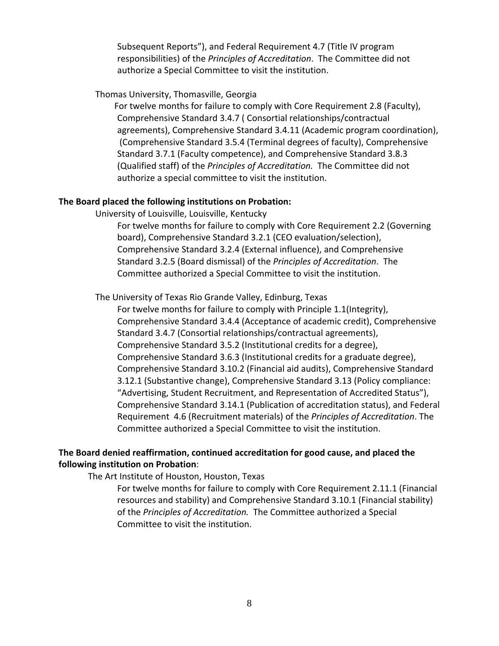Subsequent Reports"), and Federal Requirement 4.7 (Title IV program responsibilities) of the *Principles of Accreditation*. The Committee did not authorize a Special Committee to visit the institution.

### Thomas University, Thomasville, Georgia

 For twelve months for failure to comply with Core Requirement 2.8 (Faculty), Comprehensive Standard 3.4.7 ( Consortial relationships/contractual agreements), Comprehensive Standard 3.4.11 (Academic program coordination), (Comprehensive Standard 3.5.4 (Terminal degrees of faculty), Comprehensive Standard 3.7.1 (Faculty competence), and Comprehensive Standard 3.8.3 (Qualified staff) of the *Principles of Accreditation.* The Committee did not authorize a special committee to visit the institution.

#### **The Board placed the following institutions on Probation:**

University of Louisville, Louisville, Kentucky

For twelve months for failure to comply with Core Requirement 2.2 (Governing board), Comprehensive Standard 3.2.1 (CEO evaluation/selection), Comprehensive Standard 3.2.4 (External influence), and Comprehensive Standard 3.2.5 (Board dismissal) of the *Principles of Accreditation*. The Committee authorized a Special Committee to visit the institution.

The University of Texas Rio Grande Valley, Edinburg, Texas

For twelve months for failure to comply with Principle 1.1(Integrity), Comprehensive Standard 3.4.4 (Acceptance of academic credit), Comprehensive Standard 3.4.7 (Consortial relationships/contractual agreements), Comprehensive Standard 3.5.2 (Institutional credits for a degree), Comprehensive Standard 3.6.3 (Institutional credits for a graduate degree), Comprehensive Standard 3.10.2 (Financial aid audits), Comprehensive Standard 3.12.1 (Substantive change), Comprehensive Standard 3.13 (Policy compliance: "Advertising, Student Recruitment, and Representation of Accredited Status"), Comprehensive Standard 3.14.1 (Publication of accreditation status), and Federal Requirement 4.6 (Recruitment materials) of the *Principles of Accreditation*. The Committee authorized a Special Committee to visit the institution.

# **The Board denied reaffirmation, continued accreditation for good cause, and placed the following institution on Probation**:

The Art Institute of Houston, Houston, Texas

For twelve months for failure to comply with Core Requirement 2.11.1 (Financial resources and stability) and Comprehensive Standard 3.10.1 (Financial stability) of the *Principles of Accreditation.* The Committee authorized a Special Committee to visit the institution.